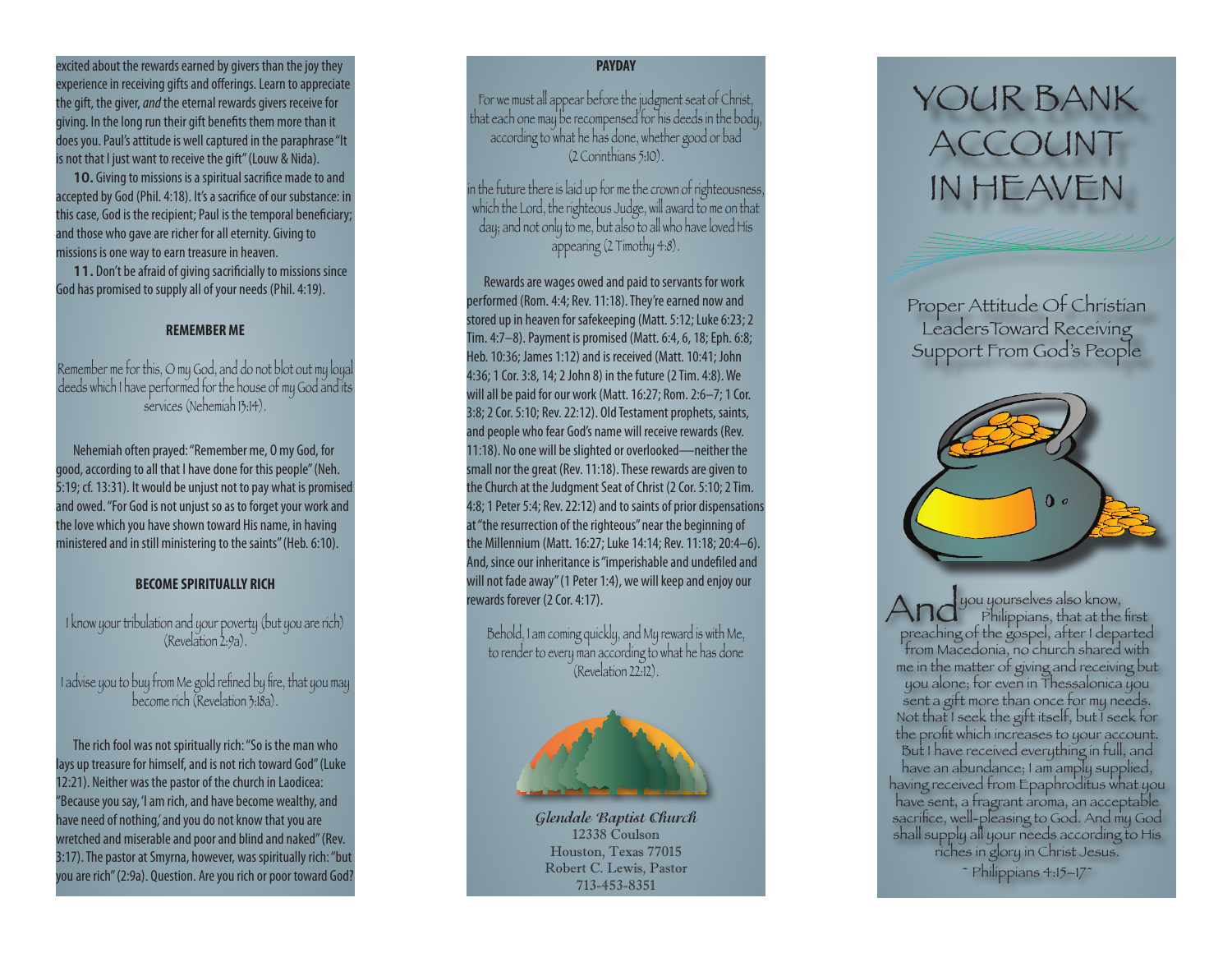excited about the rewards earned by givers than the joy they experience in receiving gifts and offerings. Learn to appreciate the gift, the giver, *and* the eternal rewards givers receive for giving. In the long run their gift benefits them more than it does you. Paul's attitude is well captured in the paraphrase "It is not that I just want to receive the gift" (Louw & Nida).

**10.** Giving to missions is a spiritual sacrifice made to and accepted by God (Phil. 4:18). It's a sacrifice of our substance: in this case, God is the recipient; Paul is the temporal beneficiary; and those who gave are richer for all eternity. Giving to missions is one way to earn treasure in heaven.

**11.** Don't be afraid of giving sacrificially to missions since God has promised to supply all of your needs (Phil. 4:19).

### **REMEMBER ME**

Remember me for this, O my God, and do not blot out my loyal deeds which I have performed for the house of my God and its services (Nehemiah 13:14).

Nehemiah often prayed: "Remember me, O my God, for good, according to all that I have done for this people" (Neh. 5:19; cf. 13:31). It would be unjust not to pay what is promised and owed. "For God is not unjust so as to forget your work and the love which you have shown toward His name, in having ministered and in still ministering to the saints" (Heb. 6:10).

## **BECOME SPIRITUALLY RICH**

I know your tribulation and your poverty (but you are rich) (Revelation 2:9a).

I advise you to buy from Me gold refined by fire, that you may become rich (Revelation 3:18a).

The rich fool was not spiritually rich: "So is the man who lays up treasure for himself, and is not rich toward God" (Luke 12:21). Neither was the pastor of the church in Laodicea: "Because you say, 'I am rich, and have become wealthy, and have need of nothing,' and you do not know that you are wretched and miserable and poor and blind and naked" (Rev. 3:17). The pastor at Smyrna, however, was spiritually rich: "but you are rich" (2:9a). Question. Are you rich or poor toward God?

# **PAYDAY**

For we must all appear before the judgment seat of Christ, that each one may be recompensed for his deeds in the body, according to what he has done, whether good or bad (2 Corinthians 5:10).

in the future there is laid up for me the crown of righteousness, which the Lord, the righteous Judge, will award to me on that day; and not only to me, but also to all who have loved His appearing (2 Timothy 4:8).

Rewards are wages owed and paid to servants for work performed (Rom. 4:4; Rev. 11:18). They're earned now and stored up in heaven for safekeeping (Matt. 5:12; Luke 6:23; 2 Tim. 4:7–8). Payment is promised (Matt. 6:4, 6, 18; Eph. 6:8; Heb. 10:36; James 1:12) and is received (Matt. 10:41; John 4:36; 1 Cor. 3:8, 14; 2 John 8) in the future (2 Tim. 4:8). We will all be paid for our work (Matt. 16:27; Rom. 2:6–7; 1 Cor. 3:8; 2 Cor. 5:10; Rev. 22:12). Old Testament prophets, saints, and people who fear God's name will receive rewards (Rev. 11:18). No one will be slighted or overlooked—neither the small nor the great (Rev. 11:18). These rewards are given to the Church at the Judgment Seat of Christ (2 Cor. 5:10; 2 Tim. 4:8; 1 Peter 5:4; Rev. 22:12) and to saints of prior dispensations at "the resurrection of the righteous" near the beginning of the Millennium (Matt. 16:27; Luke 14:14; Rev. 11:18; 20:4–6). And, since our inheritance is "imperishable and undefiled and will not fade away" (1 Peter 1:4), we will keep and enjoy our rewards forever (2 Cor. 4:17).

Behold, I am coming quickly, and My reward is with Me, to render to every man according to what he has done (Revelation 22:12).

**Glendale Baptist Church** 12338 Coulson Houston, Texas 77015 Robert C. Lewis, Pastor 713-453-8351

# YOUR BANK ACCOUNT IN HEAVEN

Proper Attitude Of Christian LeadersToward Receiving Support From God's People



And you yourselves also know,<br>
preaching of the gospel after I departed preaching of the gospel, after I departed from Macedonia, no church shared with me in the matter of giving and receiving but you alone; for even in Thessalonica you sent a gift more than once for my needs. Not that I seek the gift itself, but I seek for the profit which increases to your account. But I have received everything in full, and have an abundance; I am amply supplied, having received from Epaphroditus what you have sent, a fragrant aroma, an acceptable sacrifice, well-pleasing to God. And my God shall supply all your needs according to His riches in glory in Christ Jesus. ~ Philippians 4:15–17~